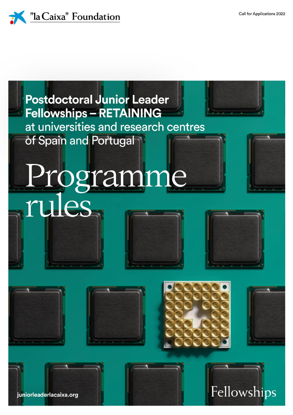

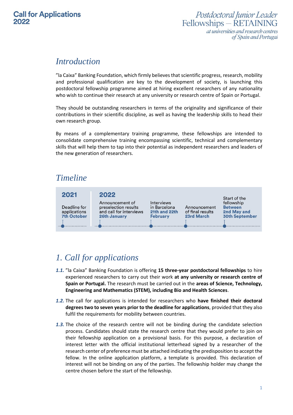

### *Introduction*

"la Caixa" Banking Foundation, which firmly believes that scientific progress, research, mobility and professional qualification are key to the development of society, is launching this postdoctoral fellowship programme aimed at hiring excellent researchers of any nationality who wish to continue their research at any university or research centre of Spain or Portugal.

They should be outstanding researchers in terms of the originality and significance of their contributions in their scientific discipline, as well as having the leadership skills to head their own research group.

By means of a complementary training programme, these fellowships are intended to consolidate comprehensive training encompassing scientific, technical and complementary skills that will help them to tap into their potential as independent researchers and leaders of the new generation of researchers.

### *Timeline*



# *1. Call for applications*

- *1.1.* "la Caixa" Banking Foundation is offering **15 three-year postdoctoral fellowships** to hire experienced researchers to carry out their work **at any university or research centre of Spain or Portugal.** The research must be carried out in the **areas of Science, Technology, Engineering and Mathematics (STEM), including Bio and Health Sciences**.
- *1.2.* The call for applications is intended for researchers who **have finished their doctoral degrees two to seven years prior to the deadline for applications**, provided that they also fulfil the requirements for mobility between countries.
- *1.3.* The choice of the research centre will not be binding during the candidate selection process. Candidates should state the research centre that they would prefer to join on their fellowship application on a provisional basis. For this purpose, a declaration of interest letter with the official institutional letterhead signed by a researcher of the research center of preference must be attached indicating the predisposition to accept the fellow. In the online application platform, a template is provided. This declaration of interest will not be binding on any of the parties. The fellowship holder may change the centre chosen before the start of the fellowship.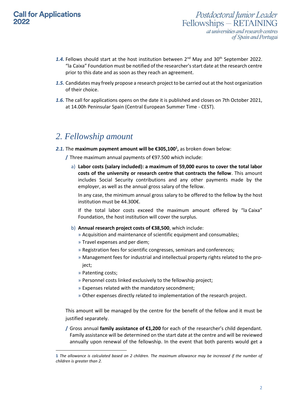- $1.4$ . Fellows should start at the host institution between  $2^{nd}$  May and  $30^{th}$  September 2022. "la Caixa" Foundation must be notified of the researcher's start date at the research centre prior to this date and as soon as they reach an agreement.
- *1.5.* Candidates may freely propose a research project to be carried out at the host organization of their choice.
- *1.6.* The call for applications opens on the date it is published and closes on 7th October 2021, at 14.00h Peninsular Spain (Central European Summer Time - CEST).

## *2. Fellowship amount*

*2.1.* The **maximum payment amount will be €305,100<sup>1</sup> ,** as broken down below:

**/** Three maximum annual payments of €97.500 which include:

a) **Labor costs (salary included): a maximum of 59,000 euros to cover the total labor costs of the university or research centre that contracts the fellow**. This amount includes Social Security contributions and any other payments made by the employer, as well as the annual gross salary of the fellow.

In any case, the minimum annual gross salary to be offered to the fellow by the host institution must be 44.300€.

If the total labor costs exceed the maximum amount offered by "la Caixa" Foundation, the host institution will cover the surplus.

- b) **Annual research project costs of €38,500**, which include:
	- » Acquisition and maintenance of scientific equipment and consumables;
	- » Travel expenses and per diem;
	- » Registration fees for scientific congresses, seminars and conferences;
	- » Management fees for industrial and intellectual property rights related to the project;
	- » Patenting costs;

 $\overline{a}$ 

- » Personnel costs linked exclusively to the fellowship project;
- » Expenses related with the mandatory secondment;
- » Other expenses directly related to implementation of the research project.

This amount will be managed by the centre for the benefit of the fellow and it must be justified separately.

**/** Gross annual **family assistance of €1,200** for each of the researcher's child dependant. Family assistance will be determined on the start date at the centre and will be reviewed annually upon renewal of the fellowship. In the event that both parents would get a

**<sup>1</sup>** *The allowance is calculated based on 2 children. The maximum allowance may be increased if the number of children is greater than 2.*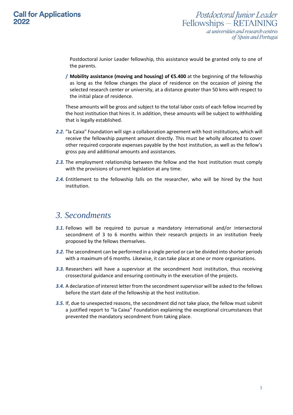Postdoctoral Junior Leader fellowship, this assistance would be granted only to one of the parents.

**/ Mobility assistance (moving and housing) of €5.400** at the beginning of the fellowship as long as the fellow changes the place of residence on the occasion of joining the selected research center or university, at a distance greater than 50 kms with respect to the initial place of residence.

These amounts will be gross and subject to the total labor costs of each fellow incurred by the host institution that hires it. In addition, these amounts will be subject to withholding that is legally established.

- *2.2.* "la Caixa" Foundation will sign a collaboration agreement with host institutions, which will receive the fellowship payment amount directly. This must be wholly allocated to cover other required corporate expenses payable by the host institution, as well as the fellow's gross pay and additional amounts and assistances.
- *2.3.* The employment relationship between the fellow and the host institution must comply with the provisions of current legislation at any time.
- *2.4.* Entitlement to the fellowship falls on the researcher, who will be hired by the host institution.

#### *3. Secondments*

- *3.1.* Fellows will be required to pursue a mandatory international and/or intersectoral secondment of 3 to 6 months within their research projects in an institution freely proposed by the fellows themselves.
- *3.2.* The secondment can be performed in a single period or can be divided into shorter periods with a maximum of 6 months. Likewise, it can take place at one or more organisations.
- *3.3.* Researchers will have a supervisor at the secondment host institution, thus receiving crossectoral guidance and ensuring continuity in the execution of the projects.
- *3.4.* A declaration of interest letter from the secondment supervisor will be asked to the fellows before the start date of the fellowship at the host institution.
- *3.5.* If, due to unexpected reasons, the secondment did not take place, the fellow must submit a justified report to "la Caixa" Foundation explaining the exceptional circumstances that prevented the mandatory secondment from taking place.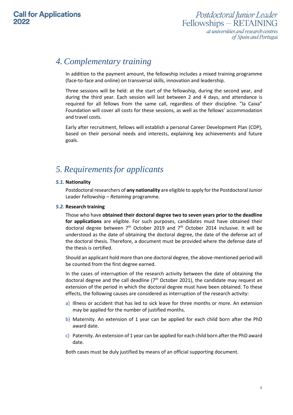# *4. Complementary training*

In addition to the payment amount, the fellowship includes a mixed training programme (face-to-face and online) on transversal skills, innovation and leadership.

Three sessions will be held: at the start of the fellowship, during the second year, and during the third year. Each session will last between 2 and 4 days, and attendance is required for all fellows from the same call, regardless of their discipline. "la Caixa" Foundation will cover all costs for these sessions, as well as the fellows' accommodation and travel costs.

Early after recruitment, fellows will establish a personal Career Development Plan (CDP), based on their personal needs and interests, explaining key achievements and future goals.

# *5. Requirementsfor applicants*

#### *5.1.* **Nationality**

Postdoctoral researchers of **any nationality** are eligible to apply for the Postdoctoral Junior Leader Fellowship – *Retaining* programme.

#### *5.2.* **Research training**

Those who have **obtained their doctoral degree two to seven years prior to the deadline for applications** are eligible. For such purposes, candidates must have obtained their doctoral degree between  $7<sup>th</sup>$  October 2019 and  $7<sup>th</sup>$  October 2014 inclusive. It will be understood as the date of obtaining the doctoral degree, the date of the defense act of the doctoral thesis. Therefore, a document must be provided where the defense date of the thesis is certified.

Should an applicant hold more than one doctoral degree, the above-mentioned period will be counted from the first degree earned.

In the cases of interruption of the research activity between the date of obtaining the doctoral degree and the call deadline  $(7<sup>th</sup>$  October 2021), the candidate may request an extension of the period in which the doctoral degree must have been obtained. To these effects, the following causes are considered as interruption of the research activity:

- a) Illness or accident that has led to sick leave for three months or more. An extension may be applied for the number of justified months.
- b) Maternity. An extension of 1 year can be applied for each child born after the PhD award date.
- c) Paternity. An extension of 1 year can be applied for each child born after the PhD award date.

Both cases must be duly justified by means of an official supporting document.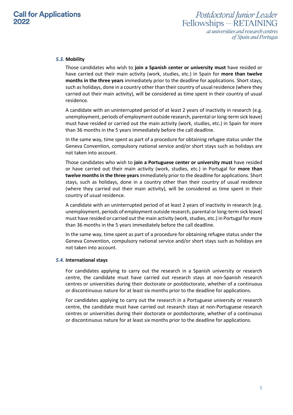#### *5.3.* **Mobility**

Those candidates who wish to **join a Spanish center or university must** have resided or have carried out their main activity (work, studies, etc.) in Spain for **more than twelve months in the three years** immediately prior to the deadline for applications. Short stays, such as holidays, done in a country other than their country of usual residence (where they carried out their main activity), will be considered as time spent in their country of usual residence.

A candidate with an uninterrupted period of at least 2 years of inactivity in research (e.g. unemployment, periods of employment outside research, parental or long-term sick leave) must have resided or carried out the main activity (work, studies, etc.) in Spain for more than 36 months in the 5 years immediately before the call deadline.

In the same way, time spent as part of a procedure for obtaining refugee status under the Geneva Convention, compulsory national service and/or short stays such as holidays are not taken into account.

Those candidates who wish to **join a Portuguese center or university must** have resided or have carried out their main activity (work, studies, etc.) in Portugal for **more than twelve months in the three years** immediately prior to the deadline for applications. Short stays, such as holidays, done in a country other than their country of usual residence (where they carried out their main activity), will be considered as time spent in their country of usual residence.

A candidate with an uninterrupted period of at least 2 years of inactivity in research (e.g. unemployment, periods of employment outside research, parental or long-term sick leave) must have resided or carried out the main activity (work, studies, etc.) in Portugal for more than 36 months in the 5 years immediately before the call deadline.

In the same way, time spent as part of a procedure for obtaining refugee status under the Geneva Convention, compulsory national service and/or short stays such as holidays are not taken into account.

#### *5.4.* **International stays**

For candidates applying to carry out the research in a Spanish university or research centre, the candidate must have carried out research stays at non-Spanish research centres or universities during their doctorate or postdoctorate, whether of a continuous or discontinuous nature for at least six months prior to the deadline for applications.

For candidates applying to carry out the research in a Portuguese university or research centre, the candidate must have carried out research stays at non-Portuguese research centres or universities during their doctorate or postdoctorate, whether of a continuous or discontinuous nature for at least six months prior to the deadline for applications.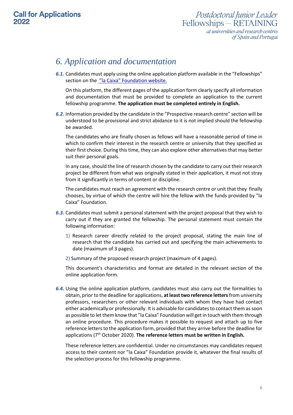## *6. Application and documentation*

*6.1.* Candidates must apply using the online application platform available in the "Fellowships" section on the "la Caixa" [Foundation](https://www.lacaixafellowships.org/index.aspx) website.

On this platform, the different pages of the application form clearly specify all information and documentation that must be provided to complete an application to the current fellowship programme. **The application must be completed entirely in English.**

*6.2.* Information provided by the candidate in the "Prospective research centre" section will be understood to be provisional and strict abidance to it is not implied should the fellowship be awarded.

The candidates who are finally chosen as fellows will have a reasonable period of time in which to confirm their interest in the research centre or university that they specified as their first choice. During this time, they can also explore other alternatives that may better suit their personal goals.

In any case, should the line of research chosen by the candidate to carry out their research project be different from what was originally stated in their application, it must not stray from it significantly in terms of content or discipline.

The candidates must reach an agreement with the research centre or unit that they finally chooses, by virtue of which the centre will hire the fellow with the funds provided by "la Caixa" Foundation.

- *6.3.* Candidates must submit a personal statement with the project proposal that they wish to carry out if they are granted the fellowship. The personal statement must contain the following information:
	- 1) Research career directly related to the project proposal, stating the main line of research that the candidate has carried out and specifying the main achievements to date (maximum of 3 pages).
	- 2) Summary of the proposed research project (maximum of 4 pages).

This document's characteristics and format are detailed in the relevant section of the online application form.

*6.4.* Using the online application platform, candidates must also carry out the formalities to obtain, prior to the deadline for applications, **at least two reference letters**from university professors, researchers or other relevant individuals with whom they have had contact either academically or professionally. It is advisable for candidates to contact them as soon as possible to let them know that "la Caixa" Foundation will get in touch with them through an online procedure. This procedure makes it possible to request and attach up to five reference letters to the application form, provided that they arrive before the deadline for applications (7<sup>th</sup> October 2020). The reference letters must be written in English.

These reference letters are confidential. Under no circumstances may candidates request access to their content nor "la Caixa" Foundation provide it, whatever the final results of the selection process for this fellowship programme.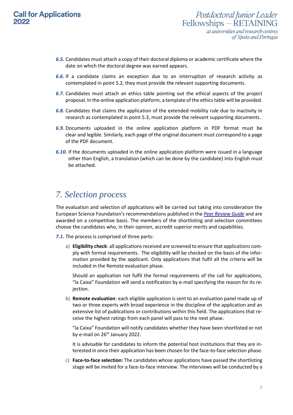#### **Call for Applications** 2022

- Postdoctoral Junior Leader Fellowships - RETAINING at universities and research centres of Spain and Portugal
- *6.5.* Candidates must attach a copy of their doctoral diploma or academic certificate where the date on which the doctoral degree was earned appears.
- *6.6.* If a candidate claims an exception due to an interruption of research activity as contemplated in point 5.2, they must provide the relevant supporting documents.
- *6.7.* Candidates must attach an ethics table pointing out the ethical aspects of the project proposal. In the online application platform, a template of the ethics table will be provided.
- *6.8.* Candidates that claims the application of the extended mobility rule due to inactivity in research as contemplated in point 5.3, must provide the relevant supporting documents.
- *6.9.* Documents uploaded in the online application platform in PDF format must be clear and legible. Similarly, each page of the original document must correspond to a page of the PDF document.
- *6.10.* If the documents uploaded in the online application platform were issued in a language other than English, a translation (which can be done by the candidate) into English must be attached.

### *7. Selection process*

The evaluation and selection of applications will be carried out taking into consideration the European Science Foundation's recommendations published in the *[Peer Review Guide](http://www.esf.org/fileadmin/user_upload/esf/European_Peer_Review_Guide_2011.pdf)* and are awarded on a competitive basis. The members of the shortlisting and selection committees choose the candidates who, in their opinion, accredit superior merits and capabilities.

*7.1.* The process is comprised of three parts:

a) **Eligibility check**: all applications received are screened to ensure that applications comply with formal requirements. The eligibility will be checked on the basis of the information provided by the applicant. Only applications that fulfil all the criteria will be included in the Remote evaluation phase.

Should an application not fulfil the formal requirements of the call for applications, "la Caixa" Foundation will send a notification by e-mail specifying the reason for its rejection.

b) **Remote evaluation**: each eligible application is sent to an evaluation panel made up of two or three experts with broad experience in the discipline of the application and an extensive list of publications or contributions within this field. The applications that receive the highest ratings from each panel will pass to the next phase.

"la Caixa" Foundation will notify candidates whether they have been shortlisted or not by e-mail on 26<sup>th</sup> January 2022.

It is advisable for candidates to inform the potential host institutions that they are interested in once their application has been chosen for the face-to-face selection phase.

c) **Face-to-face selection:** The candidates whose applications have passed the shortlisting stage will be invited for a face-to-face interview. The interviews will be conducted by a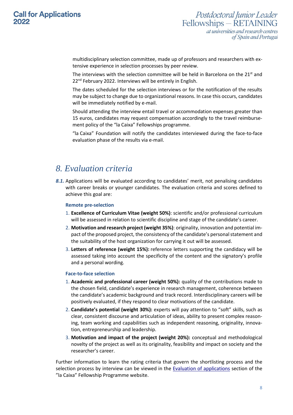multidisciplinary selection committee, made up of professors and researchers with extensive experience in selection processes by peer review.

The interviews with the selection committee will be held in Barcelona on the  $21<sup>st</sup>$  and 22<sup>nd</sup> February 2022. Interviews will be entirely in English.

The dates scheduled for the selection interviews or for the notification of the results may be subject to change due to organizational reasons. In case this occurs, candidates will be immediately notified by e-mail.

Should attending the interview entail travel or accommodation expenses greater than 15 euros, candidates may request compensation accordingly to the travel reimbursement policy of the "la Caixa" Fellowships programme.

"la Caixa" Foundation will notify the candidates interviewed during the face-to-face evaluation phase of the results via e-mail.

### *8. Evaluation criteria*

*8.1.* Applications will be evaluated according to candidates' merit, not penalising candidates with career breaks or younger candidates. The evaluation criteria and scores defined to achieve this goal are:

#### **Remote pre-selection**

- 1. **Excellence of Curriculum Vitae (weight 50%)**: scientific and/or professional curriculum will be assessed in relation to scientific discipline and stage of the candidate's career.
- 2. **Motivation and research project (weight 35%)**: originality, innovation and potential impact of the proposed project, the consistency of the candidate's personal statement and the suitability of the host organization for carrying it out will be assessed.
- 3. **Letters of reference (weight 15%):** reference letters supporting the candidacy will be assessed taking into account the specificity of the content and the signatory's profile and a personal wording.

#### **Face-to-face selection**

- 1. **Academic and professional career (weight 50%):** quality of the contributions made to the chosen field, candidate's experience in research management, coherence between the candidate's academic background and track record. Interdisciplinary careers will be positively evaluated, if they respond to clear motivations of the candidate.
- 2. **Candidate's potential (weight 30%):** experts will pay attention to "soft" skills, such as clear, consistent discourse and articulation of ideas, ability to present complex reasoning, team working and capabilities such as independent reasoning, originality, innovation, entrepreneurship and leadership.
- 3. **Motivation and impact of the project (weight 20%):** conceptual and methodological novelty of the project as well as its originality, feasibility and impact on society and the researcher's career.

Further information to learn the rating criteria that govern the shortlisting process and the selection process by interview can be viewed in the [Evaluation of applications](https://obrasociallacaixa.org/es/educacion-becas/becas/evaluacion-de-solicitudes) section of the "la Caixa" Fellowship Programme website.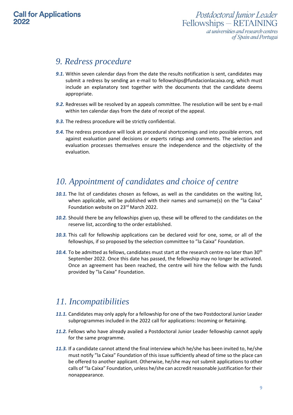#### *9. Redress procedure*

- *9.1.* Within seven calendar days from the date the results notification is sent, candidates may submit a redress by sending an e-mail to [fellowships@fundacionlacaixa.org,](mailto:fellowships@fundacionlacaixa.org) which must include an explanatory text together with the documents that the candidate deems appropriate.
- *9.2.* Redresses will be resolved by an appeals committee. The resolution will be sent by e-mail within ten calendar days from the date of receipt of the appeal.
- *9.3.* The redress procedure will be strictly confidential.
- *9.4.* The redress procedure will look at procedural shortcomings and into possible errors, not against evaluation panel decisions or experts ratings and comments. The selection and evaluation processes themselves ensure the independence and the objectivity of the evaluation.

### *10. Appointment of candidates and choice of centre*

- *10.1.* The list of candidates chosen as fellows, as well as the candidates on the waiting list, when applicable, will be published with their names and surname(s) on the "la Caixa" Foundation website on 23rd March 2022.
- *10.2.* Should there be any fellowships given up, these will be offered to the candidates on the reserve list, according to the order established.
- *10.3.* This call for fellowship applications can be declared void for one, some, or all of the fellowships, if so proposed by the selection committee to "la Caixa" Foundation.
- 10.4. To be admitted as fellows, candidates must start at the research centre no later than 30<sup>th</sup> September 2022. Once this date has passed, the fellowship may no longer be activated. Once an agreement has been reached, the centre will hire the fellow with the funds provided by "la Caixa" Foundation.

#### *11. Incompatibilities*

- *11.1.* Candidates may only apply for a fellowship for one of the two Postdoctoral Junior Leader subprogrammes included in the 2022 call for applications: Incoming or Retaining.
- *11.2.* Fellows who have already availed a Postdoctoral Junior Leader fellowship cannot apply for the same programme.
- *11.3.* If a candidate cannot attend the final interview which he/she has been invited to, he/she must notify "la Caixa" Foundation of this issue sufficiently ahead of time so the place can be offered to another applicant. Otherwise, he/she may not submit applications to other calls of "la Caixa" Foundation, unless he/she can accredit reasonable justification for their nonappearance.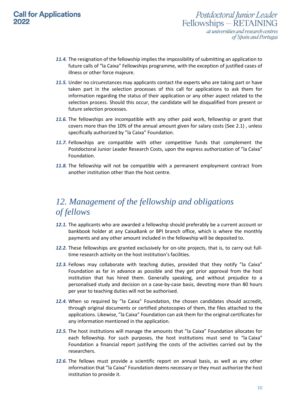- Postdoctoral Junior Leader Fellowships - RETAINING at universities and research centres of Spain and Portugal
- *11.4.* The resignation of the fellowship implies the impossibility of submitting an application to future calls of "la Caixa" Fellowships programme, with the exception of justified cases of illness or other force majeure.
- *11.5.* Under no circumstances may applicants contact the experts who are taking part or have taken part in the selection processes of this call for applications to ask them for information regarding the status of their application or any other aspect related to the selection process. Should this occur, the candidate will be disqualified from present or future selection processes.
- *11.6.* The fellowships are incompatible with any other paid work, fellowship or grant that covers more than the 10% of the annual amount given for salary costs (See 2.1) , unless specifically authorized by "la Caixa" Foundation.
- *11.7.* Fellowships are compatible with other competitive funds that complement the Postdoctoral Junior Leader Research Costs, upon the express authorization of "la Caixa" Foundation.
- *11.8.* The fellowship will not be compatible with a permanent employment contract from another institution other than the host centre.

# *12. Management of the fellowship and obligations of fellows*

- *12.1.* The applicants who are awarded a fellowship should preferably be a current account or bankbook holder at any CaixaBank or BPI branch office, which is where the monthly payments and any other amount included in the fellowship will be deposited to.
- *12.2.* These fellowships are granted exclusively for on-site projects, that is, to carry out fulltime research activity on the host institution's facilities.
- *12.3.* Fellows may collaborate with teaching duties, provided that they notify "la Caixa" Foundation as far in advance as possible and they get prior approval from the host institution that has hired them. Generally speaking, and without prejudice to a personalised study and decision on a case-by-case basis, devoting more than 80 hours per year to teaching duties will not be authorised.
- *12.4.* When so required by "la Caixa" Foundation, the chosen candidates should accredit, through original documents or certified photocopies of them, the files attached to the applications. Likewise, "la Caixa" Foundation can ask them for the original certificates for any information mentioned in the application.
- *12.5.* The host institutions will manage the amounts that "la Caixa" Foundation allocates for each fellowship. For such purposes, the host institutions must send to "la Caixa" Foundation a financial report justifying the costs of the activities carried out by the researchers.
- *12.6.* The fellows must provide a scientific report on annual basis, as well as any other information that "la Caixa" Foundation deems necessary or they must authorize the host institution to provide it.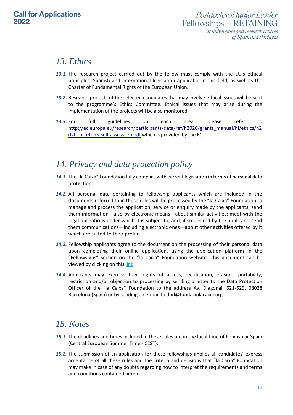#### *13. Ethics*

- 13.1. The research project carried out by the fellow must comply with the EU's ethical principles, Spanish and international legislation applicable in this field, as well as the Charter of Fundamental Rights of the European Union.
- *13.2.* Research projects of the selected candidates that may involve ethical issues will be sent to the programme's Ethics Committee. Ethical issues that may arise during the implementation of the projects will be also monitored.
- *13.3.* For full guidelines on each area, please refer to [http://ec.europa.eu/research/participants/data/ref/h2020/grants\\_manual/hi/ethics/h2](http://ec.europa.eu/research/participants/data/ref/h2020/grants_manual/hi/ethics/h2020_hi_ethics-self-assess_en.pdf) 020 hi ethics-self-assess en.pdf which is provided by the EC.

### *14. Privacy and data protection policy*

- *14.1.* The "la Caixa" Foundation fully complies with current legislation in terms of personal data protection.
- *14.2.* All personal data pertaining to fellowship applicants which are included in the documents referred to in these rules will be processed by the "la Caixa" Foundation to manage and process the application, service or enquiry made by the applicants; send them information—also by electronic means—about similar activities; meet with the legal obligations under which it is subject to; and, if so desired by the applicant, send them communications—including electronic ones—about other activities offered by it which are suited to their profile.
- *14.3.* Fellowship applicants agree to the document on the processing of their personal data upon completing their online application, using the application platform in the "Fellowships" section on the "la Caixa" Foundation website. This document can be viewed by clicking on this [link.](https://legal.lacaixafoundation.org/c/FLC18N/GEICI_consent_en.html)
- *14.4.* Applicants may exercise their rights of access, rectification, erasure, portability, restriction and/or objection to processing by sending a letter to the Data Protection Officer of the "la Caixa" Foundation to the address Av. Diagonal, 621-629, 08028 Barcelona (Spain) or by sending an e-mail to dpd@fundaciolacaixa.org.

## *15. Notes*

- *15.1.* The deadlines and times included in these rules are in the local time of Peninsular Spain (Central European Summer Time - CEST).
- *15.2.* The submission of an application for these fellowships implies all candidates' express acceptance of all these rules and the criteria and decisions that "la Caixa" Foundation may make in case of any doubts regarding how to interpret the requirements and terms and conditions contained herein.